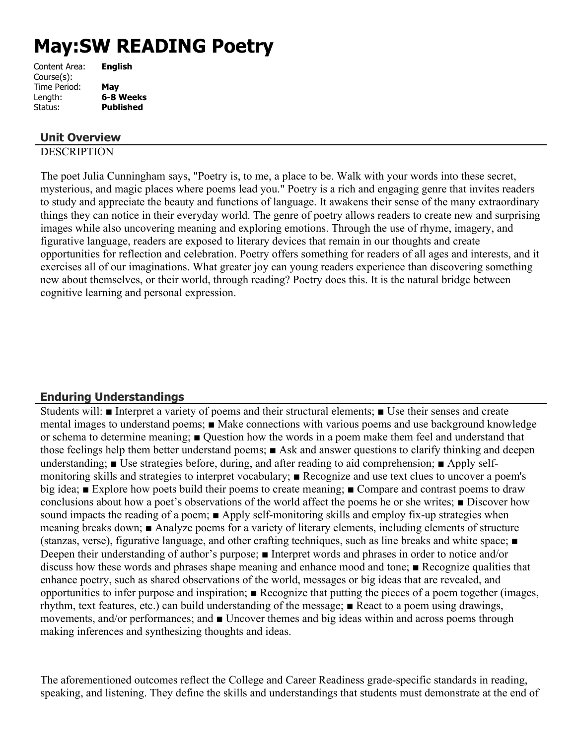# **May:SW READING Poetry**

| Content Area: | <b>English</b>   |
|---------------|------------------|
| Course(s):    |                  |
| Time Period:  | May              |
| Length:       | 6-8 Weeks        |
| Status:       | <b>Published</b> |
|               |                  |

## **Unit Overview**

## **DESCRIPTION**

The poet Julia Cunningham says, "Poetry is, to me, a place to be. Walk with your words into these secret, mysterious, and magic places where poems lead you." Poetry is a rich and engaging genre that invites readers to study and appreciate the beauty and functions of language. It awakens their sense of the many extraordinary things they can notice in their everyday world. The genre of poetry allows readers to create new and surprising images while also uncovering meaning and exploring emotions. Through the use of rhyme, imagery, and figurative language, readers are exposed to literary devices that remain in our thoughts and create opportunities for reflection and celebration. Poetry offers something for readers of all ages and interests, and it exercises all of our imaginations. What greater joy can young readers experience than discovering something new about themselves, or their world, through reading? Poetry does this. It is the natural bridge between cognitive learning and personal expression.

# **Enduring Understandings**

Students will: ■ Interpret a variety of poems and their structural elements; ■ Use their senses and create mental images to understand poems; ■ Make connections with various poems and use background knowledge or schema to determine meaning; ■ Question how the words in a poem make them feel and understand that those feelings help them better understand poems; ■ Ask and answer questions to clarify thinking and deepen understanding; ■ Use strategies before, during, and after reading to aid comprehension; ■ Apply selfmonitoring skills and strategies to interpret vocabulary; ■ Recognize and use text clues to uncover a poem's big idea; ■ Explore how poets build their poems to create meaning; ■ Compare and contrast poems to draw conclusions about how a poet's observations of the world affect the poems he or she writes; ■ Discover how sound impacts the reading of a poem; ■ Apply self-monitoring skills and employ fix-up strategies when meaning breaks down; ■ Analyze poems for a variety of literary elements, including elements of structure (stanzas, verse), figurative language, and other crafting techniques, such as line breaks and white space; ■ Deepen their understanding of author's purpose; ■ Interpret words and phrases in order to notice and/or discuss how these words and phrases shape meaning and enhance mood and tone; ■ Recognize qualities that enhance poetry, such as shared observations of the world, messages or big ideas that are revealed, and opportunities to infer purpose and inspiration; ■ Recognize that putting the pieces of a poem together (images, rhythm, text features, etc.) can build understanding of the message; ■ React to a poem using drawings, movements, and/or performances; and ■ Uncover themes and big ideas within and across poems through making inferences and synthesizing thoughts and ideas.

The aforementioned outcomes reflect the College and Career Readiness grade-specific standards in reading, speaking, and listening. They define the skills and understandings that students must demonstrate at the end of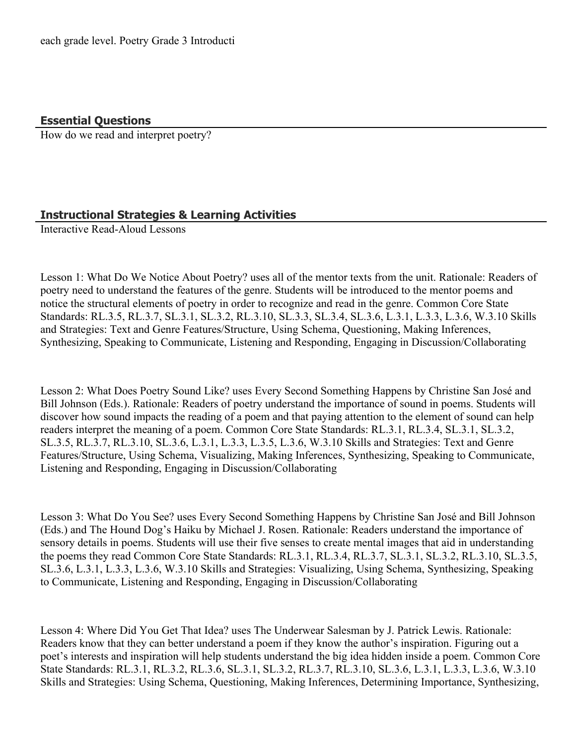**Essential Questions**

How do we read and interpret poetry?

# **Instructional Strategies & Learning Activities**

Interactive Read-Aloud Lessons

Lesson 1: What Do We Notice About Poetry? uses all of the mentor texts from the unit. Rationale: Readers of poetry need to understand the features of the genre. Students will be introduced to the mentor poems and notice the structural elements of poetry in order to recognize and read in the genre. Common Core State Standards: RL.3.5, RL.3.7, SL.3.1, SL.3.2, RL.3.10, SL.3.3, SL.3.4, SL.3.6, L.3.1, L.3.3, L.3.6, W.3.10 Skills and Strategies: Text and Genre Features/Structure, Using Schema, Questioning, Making Inferences, Synthesizing, Speaking to Communicate, Listening and Responding, Engaging in Discussion/Collaborating

Lesson 2: What Does Poetry Sound Like? uses Every Second Something Happens by Christine San José and Bill Johnson (Eds.). Rationale: Readers of poetry understand the importance of sound in poems. Students will discover how sound impacts the reading of a poem and that paying attention to the element of sound can help readers interpret the meaning of a poem. Common Core State Standards: RL.3.1, RL.3.4, SL.3.1, SL.3.2, SL.3.5, RL.3.7, RL.3.10, SL.3.6, L.3.1, L.3.3, L.3.5, L.3.6, W.3.10 Skills and Strategies: Text and Genre Features/Structure, Using Schema, Visualizing, Making Inferences, Synthesizing, Speaking to Communicate, Listening and Responding, Engaging in Discussion/Collaborating

Lesson 3: What Do You See? uses Every Second Something Happens by Christine San José and Bill Johnson (Eds.) and The Hound Dog's Haiku by Michael J. Rosen. Rationale: Readers understand the importance of sensory details in poems. Students will use their five senses to create mental images that aid in understanding the poems they read Common Core State Standards: RL.3.1, RL.3.4, RL.3.7, SL.3.1, SL.3.2, RL.3.10, SL.3.5, SL.3.6, L.3.1, L.3.3, L.3.6, W.3.10 Skills and Strategies: Visualizing, Using Schema, Synthesizing, Speaking to Communicate, Listening and Responding, Engaging in Discussion/Collaborating

Lesson 4: Where Did You Get That Idea? uses The Underwear Salesman by J. Patrick Lewis. Rationale: Readers know that they can better understand a poem if they know the author's inspiration. Figuring out a poet's interests and inspiration will help students understand the big idea hidden inside a poem. Common Core State Standards: RL.3.1, RL.3.2, RL.3.6, SL.3.1, SL.3.2, RL.3.7, RL.3.10, SL.3.6, L.3.1, L.3.3, L.3.6, W.3.10 Skills and Strategies: Using Schema, Questioning, Making Inferences, Determining Importance, Synthesizing,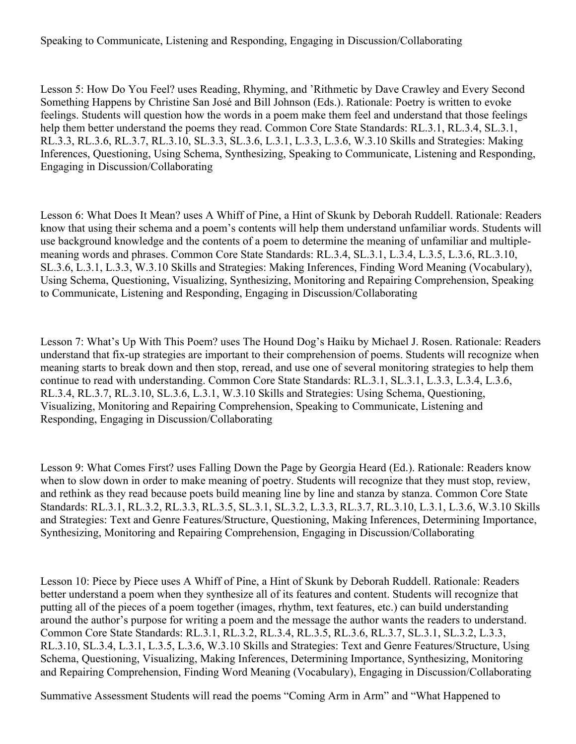Speaking to Communicate, Listening and Responding, Engaging in Discussion/Collaborating

Lesson 5: How Do You Feel? uses Reading, Rhyming, and 'Rithmetic by Dave Crawley and Every Second Something Happens by Christine San José and Bill Johnson (Eds.). Rationale: Poetry is written to evoke feelings. Students will question how the words in a poem make them feel and understand that those feelings help them better understand the poems they read. Common Core State Standards: RL.3.1, RL.3.4, SL.3.1, RL.3.3, RL.3.6, RL.3.7, RL.3.10, SL.3.3, SL.3.6, L.3.1, L.3.3, L.3.6, W.3.10 Skills and Strategies: Making Inferences, Questioning, Using Schema, Synthesizing, Speaking to Communicate, Listening and Responding, Engaging in Discussion/Collaborating

Lesson 6: What Does It Mean? uses A Whiff of Pine, a Hint of Skunk by Deborah Ruddell. Rationale: Readers know that using their schema and a poem's contents will help them understand unfamiliar words. Students will use background knowledge and the contents of a poem to determine the meaning of unfamiliar and multiplemeaning words and phrases. Common Core State Standards: RL.3.4, SL.3.1, L.3.4, L.3.5, L.3.6, RL.3.10, SL.3.6, L.3.1, L.3.3, W.3.10 Skills and Strategies: Making Inferences, Finding Word Meaning (Vocabulary), Using Schema, Questioning, Visualizing, Synthesizing, Monitoring and Repairing Comprehension, Speaking to Communicate, Listening and Responding, Engaging in Discussion/Collaborating

Lesson 7: What's Up With This Poem? uses The Hound Dog's Haiku by Michael J. Rosen. Rationale: Readers understand that fix-up strategies are important to their comprehension of poems. Students will recognize when meaning starts to break down and then stop, reread, and use one of several monitoring strategies to help them continue to read with understanding. Common Core State Standards: RL.3.1, SL.3.1, L.3.3, L.3.4, L.3.6, RL.3.4, RL.3.7, RL.3.10, SL.3.6, L.3.1, W.3.10 Skills and Strategies: Using Schema, Questioning, Visualizing, Monitoring and Repairing Comprehension, Speaking to Communicate, Listening and Responding, Engaging in Discussion/Collaborating

Lesson 9: What Comes First? uses Falling Down the Page by Georgia Heard (Ed.). Rationale: Readers know when to slow down in order to make meaning of poetry. Students will recognize that they must stop, review, and rethink as they read because poets build meaning line by line and stanza by stanza. Common Core State Standards: RL.3.1, RL.3.2, RL.3.3, RL.3.5, SL.3.1, SL.3.2, L.3.3, RL.3.7, RL.3.10, L.3.1, L.3.6, W.3.10 Skills and Strategies: Text and Genre Features/Structure, Questioning, Making Inferences, Determining Importance, Synthesizing, Monitoring and Repairing Comprehension, Engaging in Discussion/Collaborating

Lesson 10: Piece by Piece uses A Whiff of Pine, a Hint of Skunk by Deborah Ruddell. Rationale: Readers better understand a poem when they synthesize all of its features and content. Students will recognize that putting all of the pieces of a poem together (images, rhythm, text features, etc.) can build understanding around the author's purpose for writing a poem and the message the author wants the readers to understand. Common Core State Standards: RL.3.1, RL.3.2, RL.3.4, RL.3.5, RL.3.6, RL.3.7, SL.3.1, SL.3.2, L.3.3, RL.3.10, SL.3.4, L.3.1, L.3.5, L.3.6, W.3.10 Skills and Strategies: Text and Genre Features/Structure, Using Schema, Questioning, Visualizing, Making Inferences, Determining Importance, Synthesizing, Monitoring and Repairing Comprehension, Finding Word Meaning (Vocabulary), Engaging in Discussion/Collaborating

Summative Assessment Students will read the poems "Coming Arm in Arm" and "What Happened to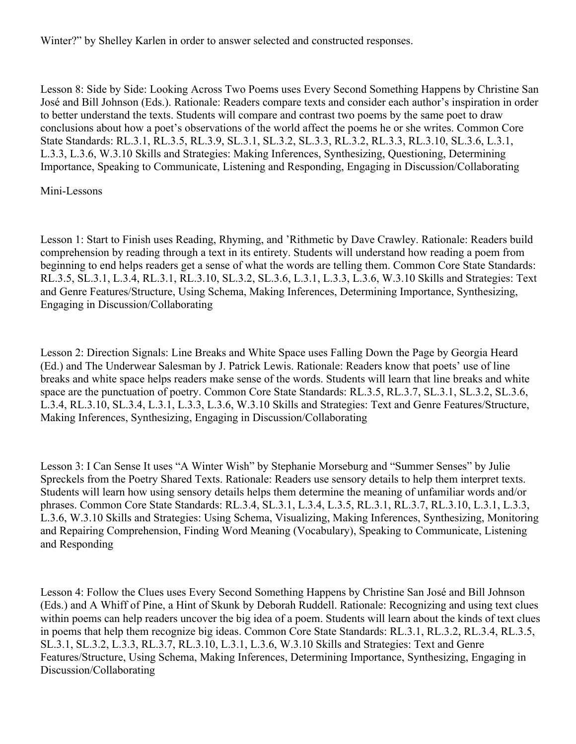Winter?" by Shelley Karlen in order to answer selected and constructed responses.

Lesson 8: Side by Side: Looking Across Two Poems uses Every Second Something Happens by Christine San José and Bill Johnson (Eds.). Rationale: Readers compare texts and consider each author's inspiration in order to better understand the texts. Students will compare and contrast two poems by the same poet to draw conclusions about how a poet's observations of the world affect the poems he or she writes. Common Core State Standards: RL.3.1, RL.3.5, RL.3.9, SL.3.1, SL.3.2, SL.3.3, RL.3.2, RL.3.3, RL.3.10, SL.3.6, L.3.1, L.3.3, L.3.6, W.3.10 Skills and Strategies: Making Inferences, Synthesizing, Questioning, Determining Importance, Speaking to Communicate, Listening and Responding, Engaging in Discussion/Collaborating

#### Mini-Lessons

Lesson 1: Start to Finish uses Reading, Rhyming, and 'Rithmetic by Dave Crawley. Rationale: Readers build comprehension by reading through a text in its entirety. Students will understand how reading a poem from beginning to end helps readers get a sense of what the words are telling them. Common Core State Standards: RL.3.5, SL.3.1, L.3.4, RL.3.1, RL.3.10, SL.3.2, SL.3.6, L.3.1, L.3.3, L.3.6, W.3.10 Skills and Strategies: Text and Genre Features/Structure, Using Schema, Making Inferences, Determining Importance, Synthesizing, Engaging in Discussion/Collaborating

Lesson 2: Direction Signals: Line Breaks and White Space uses Falling Down the Page by Georgia Heard (Ed.) and The Underwear Salesman by J. Patrick Lewis. Rationale: Readers know that poets' use of line breaks and white space helps readers make sense of the words. Students will learn that line breaks and white space are the punctuation of poetry. Common Core State Standards: RL.3.5, RL.3.7, SL.3.1, SL.3.2, SL.3.6, L.3.4, RL.3.10, SL.3.4, L.3.1, L.3.3, L.3.6, W.3.10 Skills and Strategies: Text and Genre Features/Structure, Making Inferences, Synthesizing, Engaging in Discussion/Collaborating

Lesson 3: I Can Sense It uses "A Winter Wish" by Stephanie Morseburg and "Summer Senses" by Julie Spreckels from the Poetry Shared Texts. Rationale: Readers use sensory details to help them interpret texts. Students will learn how using sensory details helps them determine the meaning of unfamiliar words and/or phrases. Common Core State Standards: RL.3.4, SL.3.1, L.3.4, L.3.5, RL.3.1, RL.3.7, RL.3.10, L.3.1, L.3.3, L.3.6, W.3.10 Skills and Strategies: Using Schema, Visualizing, Making Inferences, Synthesizing, Monitoring and Repairing Comprehension, Finding Word Meaning (Vocabulary), Speaking to Communicate, Listening and Responding

Lesson 4: Follow the Clues uses Every Second Something Happens by Christine San José and Bill Johnson (Eds.) and A Whiff of Pine, a Hint of Skunk by Deborah Ruddell. Rationale: Recognizing and using text clues within poems can help readers uncover the big idea of a poem. Students will learn about the kinds of text clues in poems that help them recognize big ideas. Common Core State Standards: RL.3.1, RL.3.2, RL.3.4, RL.3.5, SL.3.1, SL.3.2, L.3.3, RL.3.7, RL.3.10, L.3.1, L.3.6, W.3.10 Skills and Strategies: Text and Genre Features/Structure, Using Schema, Making Inferences, Determining Importance, Synthesizing, Engaging in Discussion/Collaborating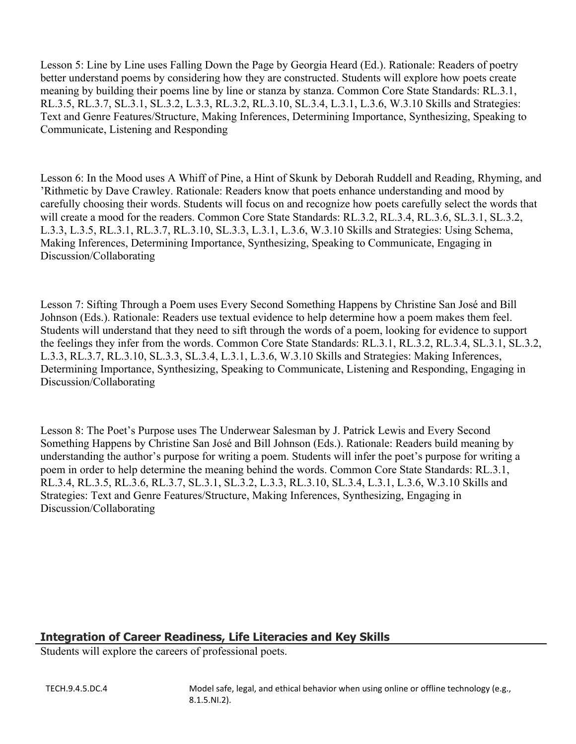Lesson 5: Line by Line uses Falling Down the Page by Georgia Heard (Ed.). Rationale: Readers of poetry better understand poems by considering how they are constructed. Students will explore how poets create meaning by building their poems line by line or stanza by stanza. Common Core State Standards: RL.3.1, RL.3.5, RL.3.7, SL.3.1, SL.3.2, L.3.3, RL.3.2, RL.3.10, SL.3.4, L.3.1, L.3.6, W.3.10 Skills and Strategies: Text and Genre Features/Structure, Making Inferences, Determining Importance, Synthesizing, Speaking to Communicate, Listening and Responding

Lesson 6: In the Mood uses A Whiff of Pine, a Hint of Skunk by Deborah Ruddell and Reading, Rhyming, and 'Rithmetic by Dave Crawley. Rationale: Readers know that poets enhance understanding and mood by carefully choosing their words. Students will focus on and recognize how poets carefully select the words that will create a mood for the readers. Common Core State Standards: RL.3.2, RL.3.4, RL.3.6, SL.3.1, SL.3.2, L.3.3, L.3.5, RL.3.1, RL.3.7, RL.3.10, SL.3.3, L.3.1, L.3.6, W.3.10 Skills and Strategies: Using Schema, Making Inferences, Determining Importance, Synthesizing, Speaking to Communicate, Engaging in Discussion/Collaborating

Lesson 7: Sifting Through a Poem uses Every Second Something Happens by Christine San José and Bill Johnson (Eds.). Rationale: Readers use textual evidence to help determine how a poem makes them feel. Students will understand that they need to sift through the words of a poem, looking for evidence to support the feelings they infer from the words. Common Core State Standards: RL.3.1, RL.3.2, RL.3.4, SL.3.1, SL.3.2, L.3.3, RL.3.7, RL.3.10, SL.3.3, SL.3.4, L.3.1, L.3.6, W.3.10 Skills and Strategies: Making Inferences, Determining Importance, Synthesizing, Speaking to Communicate, Listening and Responding, Engaging in Discussion/Collaborating

Lesson 8: The Poet's Purpose uses The Underwear Salesman by J. Patrick Lewis and Every Second Something Happens by Christine San José and Bill Johnson (Eds.). Rationale: Readers build meaning by understanding the author's purpose for writing a poem. Students will infer the poet's purpose for writing a poem in order to help determine the meaning behind the words. Common Core State Standards: RL.3.1, RL.3.4, RL.3.5, RL.3.6, RL.3.7, SL.3.1, SL.3.2, L.3.3, RL.3.10, SL.3.4, L.3.1, L.3.6, W.3.10 Skills and Strategies: Text and Genre Features/Structure, Making Inferences, Synthesizing, Engaging in Discussion/Collaborating

# **Integration of Career Readiness, Life Literacies and Key Skills**

Students will explore the careers of professional poets.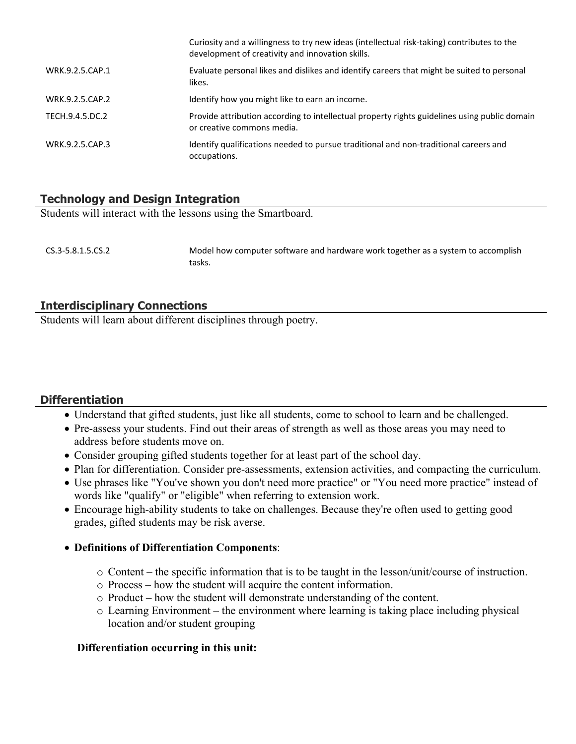|                 | Curiosity and a willingness to try new ideas (intellectual risk-taking) contributes to the<br>development of creativity and innovation skills. |
|-----------------|------------------------------------------------------------------------------------------------------------------------------------------------|
| WRK.9.2.5.CAP.1 | Evaluate personal likes and dislikes and identify careers that might be suited to personal<br>likes.                                           |
| WRK.9.2.5.CAP.2 | Identify how you might like to earn an income.                                                                                                 |
| TECH.9.4.5.DC.2 | Provide attribution according to intellectual property rights guidelines using public domain<br>or creative commons media.                     |
| WRK.9.2.5.CAP.3 | Identify qualifications needed to pursue traditional and non-traditional careers and<br>occupations.                                           |

# **Technology and Design Integration**

Students will interact with the lessons using the Smartboard.

CS.3-5.8.1.5.CS.2 Model how computer software and hardware work together as a system to accomplish tasks.

# **Interdisciplinary Connections**

Students will learn about different disciplines through poetry.

#### **Differentiation**

- Understand that gifted students, just like all students, come to school to learn and be challenged.
- Pre-assess your students. Find out their areas of strength as well as those areas you may need to address before students move on.
- Consider grouping gifted students together for at least part of the school day.
- Plan for differentiation. Consider pre-assessments, extension activities, and compacting the curriculum.
- Use phrases like "You've shown you don't need more practice" or "You need more practice" instead of words like "qualify" or "eligible" when referring to extension work.
- Encourage high-ability students to take on challenges. Because they're often used to getting good grades, gifted students may be risk averse.

#### **Definitions of Differentiation Components**:

- o Content the specific information that is to be taught in the lesson/unit/course of instruction.
- o Process how the student will acquire the content information.
- o Product how the student will demonstrate understanding of the content.
- o Learning Environment the environment where learning is taking place including physical location and/or student grouping

#### **Differentiation occurring in this unit:**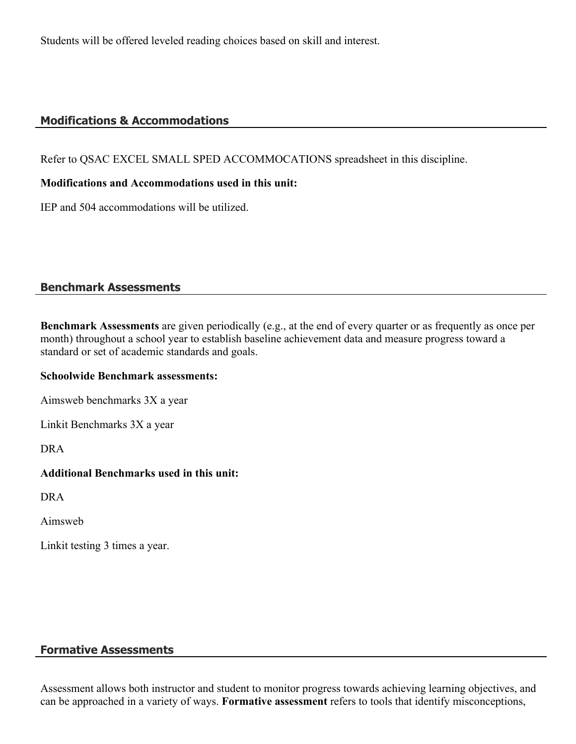Students will be offered leveled reading choices based on skill and interest.

# **Modifications & Accommodations**

Refer to QSAC EXCEL SMALL SPED ACCOMMOCATIONS spreadsheet in this discipline.

#### **Modifications and Accommodations used in this unit:**

IEP and 504 accommodations will be utilized.

## **Benchmark Assessments**

**Benchmark Assessments** are given periodically (e.g., at the end of every quarter or as frequently as once per month) throughout a school year to establish baseline achievement data and measure progress toward a standard or set of academic standards and goals.

#### **Schoolwide Benchmark assessments:**

Aimsweb benchmarks 3X a year

Linkit Benchmarks 3X a year

DRA

#### **Additional Benchmarks used in this unit:**

DRA

Aimsweb

Linkit testing 3 times a year.

# **Formative Assessments**

Assessment allows both instructor and student to monitor progress towards achieving learning objectives, and can be approached in a variety of ways. **Formative assessment** refers to tools that identify misconceptions,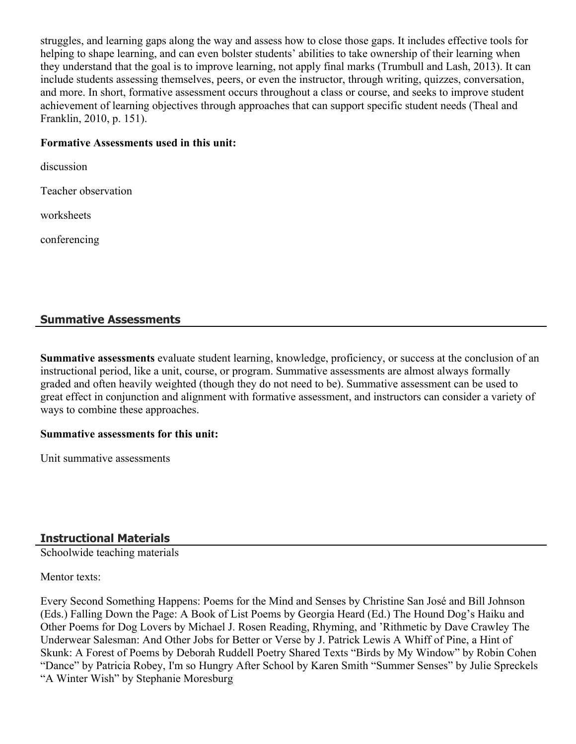struggles, and learning gaps along the way and assess how to close those gaps. It includes effective tools for helping to shape learning, and can even bolster students' abilities to take ownership of their learning when they understand that the goal is to improve learning, not apply final marks (Trumbull and Lash, 2013). It can include students assessing themselves, peers, or even the instructor, through writing, quizzes, conversation, and more. In short, formative assessment occurs throughout a class or course, and seeks to improve student achievement of learning objectives through approaches that can support specific student needs (Theal and Franklin, 2010, p. 151).

#### **Formative Assessments used in this unit:**

discussion

Teacher observation

worksheets

conferencing

# **Summative Assessments**

**Summative assessments** evaluate student learning, knowledge, proficiency, or success at the conclusion of an instructional period, like a unit, course, or program. Summative assessments are almost always formally graded and often heavily weighted (though they do not need to be). Summative assessment can be used to great effect in conjunction and alignment with formative assessment, and instructors can consider a variety of ways to combine these approaches.

#### **Summative assessments for this unit:**

Unit summative assessments

# **Instructional Materials**

Schoolwide teaching materials

#### Mentor texts:

Every Second Something Happens: Poems for the Mind and Senses by Christine San José and Bill Johnson (Eds.) Falling Down the Page: A Book of List Poems by Georgia Heard (Ed.) The Hound Dog's Haiku and Other Poems for Dog Lovers by Michael J. Rosen Reading, Rhyming, and 'Rithmetic by Dave Crawley The Underwear Salesman: And Other Jobs for Better or Verse by J. Patrick Lewis A Whiff of Pine, a Hint of Skunk: A Forest of Poems by Deborah Ruddell Poetry Shared Texts "Birds by My Window" by Robin Cohen "Dance" by Patricia Robey, I'm so Hungry After School by Karen Smith "Summer Senses" by Julie Spreckels "A Winter Wish" by Stephanie Moresburg